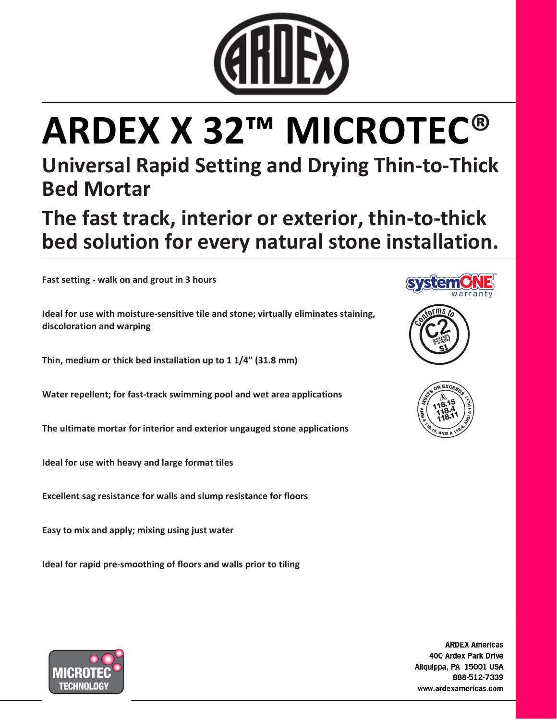

# ARDEX X 32™ MICROTEC®

## Universal Rapid Setting and Drying Thin-to-Thick Bed Mortar

The fast track, interior or exterior, thin-to-thick bed solution for every natural stone installation.

Fast setting - walk on and grout in 3 hours

Ideal for use with moisture-sensitive tile and stone; virtually eliminates staining, discoloration and warping

Thin, medium or thick bed installation up to 1 1/4" (31.8 mm)

Water repellent; for fast-track swimming pool and wet area applications

The ultimate mortar for interior and exterior ungauged stone applications

Ideal for use with heavy and large format tiles

Excellent sag resistance for walls and slump resistance for floors

Easy to mix and apply; mixing using just water

Ideal for rapid pre-smoothing of floors and walls prior to tiling









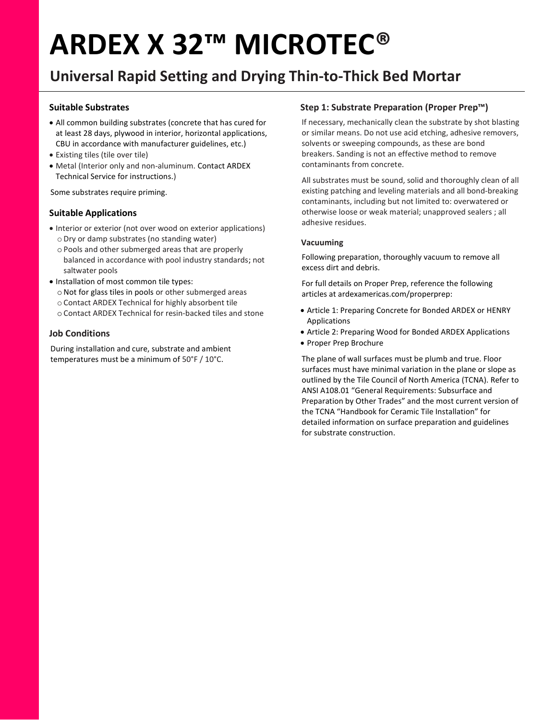# ARDEX X 32™ MICROTEC®

### Universal Rapid Setting and Drying Thin-to-Thick Bed Mortar

#### Suitable Substrates

- All common building substrates (concrete that has cured for at least 28 days, plywood in interior, horizontal applications, CBU in accordance with manufacturer guidelines, etc.)
- Existing tiles (tile over tile)
- Metal (Interior only and non-aluminum. Contact ARDEX Technical Service for instructions.)

Some substrates require priming.

#### Suitable Applications

- Interior or exterior (not over wood on exterior applications) o Dry or damp substrates (no standing water)
	- o Pools and other submerged areas that are properly balanced in accordance with pool industry standards; not saltwater pools
- Installation of most common tile types:
	- oNot for glass tiles in pools or other submerged areas
	- o Contact ARDEX Technical for highly absorbent tile
	- o Contact ARDEX Technical for resin-backed tiles and stone

#### Job Conditions

During installation and cure, substrate and ambient temperatures must be a minimum of 50°F / 10°C.

#### Step 1: Substrate Preparation (Proper Prep™)

If necessary, mechanically clean the substrate by shot blasting or similar means. Do not use acid etching, adhesive removers, solvents or sweeping compounds, as these are bond breakers. Sanding is not an effective method to remove contaminants from concrete.

All substrates must be sound, solid and thoroughly clean of all existing patching and leveling materials and all bond-breaking contaminants, including but not limited to: overwatered or otherwise loose or weak material; unapproved sealers ; all adhesive residues.

#### Vacuuming

Following preparation, thoroughly vacuum to remove all excess dirt and debris.

For full details on Proper Prep, reference the following articles at ardexamericas.com/properprep:

- Article 1: Preparing Concrete for Bonded ARDEX or HENRY Applications
- Article 2: Preparing Wood for Bonded ARDEX Applications
- Proper Prep Brochure

The plane of wall surfaces must be plumb and true. Floor surfaces must have minimal variation in the plane or slope as outlined by the Tile Council of North America (TCNA). Refer to ANSI A108.01 "General Requirements: Subsurface and Preparation by Other Trades" and the most current version of the TCNA "Handbook for Ceramic Tile Installation" for detailed information on surface preparation and guidelines for substrate construction.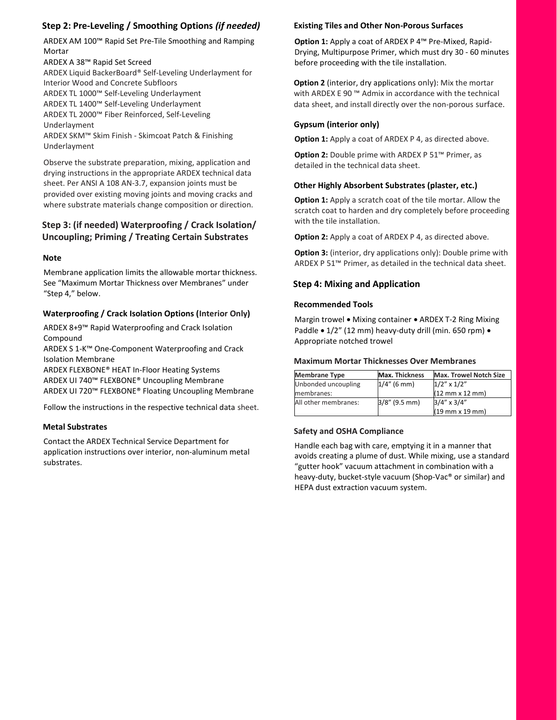#### Step 2: Pre-Leveling / Smoothing Options (if needed)

ARDEX AM 100™ Rapid Set Pre-Tile Smoothing and Ramping Mortar

ARDEX A 38™ Rapid Set Screed

ARDEX Liquid BackerBoard® Self-Leveling Underlayment for Interior Wood and Concrete Subfloors ARDEX TL 1000™ Self-Leveling Underlayment ARDEX TL 1400™ Self-Leveling Underlayment ARDEX TL 2000™ Fiber Reinforced, Self-Leveling Underlayment

ARDEX SKM™ Skim Finish - Skimcoat Patch & Finishing Underlayment

Observe the substrate preparation, mixing, application and drying instructions in the appropriate ARDEX technical data sheet. Per ANSI A 108 AN-3.7, expansion joints must be provided over existing moving joints and moving cracks and where substrate materials change composition or direction.

#### Step 3: (if needed) Waterproofing / Crack Isolation/ Uncoupling; Priming / Treating Certain Substrates

#### Note

Membrane application limits the allowable mortar thickness. See "Maximum Mortar Thickness over Membranes" under "Step 4," below.

#### Waterproofing / Crack Isolation Options (Interior Only)

ARDEX 8+9™ Rapid Waterproofing and Crack Isolation Compound

ARDEX S 1-K™ One-Component Waterproofing and Crack Isolation Membrane

ARDEX FLEXBONE® HEAT In-Floor Heating Systems ARDEX UI 740™ FLEXBONE® Uncoupling Membrane ARDEX UI 720™ FLEXBONE® Floating Uncoupling Membrane

Follow the instructions in the respective technical data sheet.

#### Metal Substrates

Contact the ARDEX Technical Service Department for application instructions over interior, non-aluminum metal substrates.

#### Existing Tiles and Other Non-Porous Surfaces

Option 1: Apply a coat of ARDEX P 4™ Pre-Mixed, Rapid-Drying, Multipurpose Primer, which must dry 30 - 60 minutes before proceeding with the tile installation.

**Option 2** (interior, dry applications only): Mix the mortar with ARDEX E 90 ™ Admix in accordance with the technical data sheet, and install directly over the non-porous surface.

#### Gypsum (interior only)

Option 1: Apply a coat of ARDEX P 4, as directed above.

Option 2: Double prime with ARDEX P 51™ Primer, as detailed in the technical data sheet.

#### Other Highly Absorbent Substrates (plaster, etc.)

Option 1: Apply a scratch coat of the tile mortar. Allow the scratch coat to harden and dry completely before proceeding with the tile installation.

**Option 2:** Apply a coat of ARDEX P 4, as directed above.

**Option 3:** (interior, dry applications only): Double prime with ARDEX P 51™ Primer, as detailed in the technical data sheet.

#### Step 4: Mixing and Application

#### Recommended Tools

Margin trowel . Mixing container . ARDEX T-2 Ring Mixing Paddle • 1/2" (12 mm) heavy-duty drill (min. 650 rpm) • Appropriate notched trowel

#### Maximum Mortar Thicknesses Over Membranes

| Membrane Type        | <b>Max. Thickness</b> | <b>Max. Trowel Notch Size</b> |
|----------------------|-----------------------|-------------------------------|
| Unbonded uncoupling  | $1/4$ " (6 mm)        | $1/2''$ x $1/2''$             |
| membranes:           |                       | $(12$ mm x 12 mm)             |
| All other membranes: | $3/8''$ (9.5 mm)      | $3/4''$ x $3/4''$             |
|                      |                       | $(19$ mm x 19 mm)             |

#### Safety and OSHA Compliance

Handle each bag with care, emptying it in a manner that avoids creating a plume of dust. While mixing, use a standard "gutter hook" vacuum attachment in combination with a heavy-duty, bucket-style vacuum (Shop-Vac® or similar) and HEPA dust extraction vacuum system.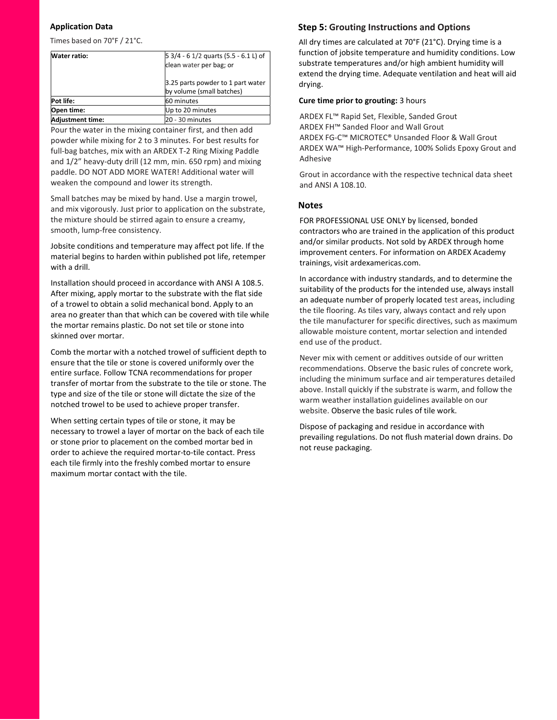#### Application Data

Times based on 70°F / 21°C.

| Water ratio:            | $\vert$ 5 3/4 - 6 1/2 quarts (5.5 - 6.1 L) of |  |  |
|-------------------------|-----------------------------------------------|--|--|
|                         | clean water per bag; or                       |  |  |
|                         | 3.25 parts powder to 1 part water             |  |  |
|                         | by volume (small batches)                     |  |  |
| Pot life:               | 60 minutes                                    |  |  |
| Open time:              | Up to 20 minutes                              |  |  |
| <b>Adjustment time:</b> | 20 - 30 minutes                               |  |  |

Pour the water in the mixing container first, and then add powder while mixing for 2 to 3 minutes. For best results for full-bag batches, mix with an ARDEX T-2 Ring Mixing Paddle and 1/2" heavy-duty drill (12 mm, min. 650 rpm) and mixing paddle. DO NOT ADD MORE WATER! Additional water will weaken the compound and lower its strength.

Small batches may be mixed by hand. Use a margin trowel, and mix vigorously. Just prior to application on the substrate, the mixture should be stirred again to ensure a creamy, smooth, lump-free consistency.

Jobsite conditions and temperature may affect pot life. If the material begins to harden within published pot life, retemper with a drill.

Installation should proceed in accordance with ANSI A 108.5. After mixing, apply mortar to the substrate with the flat side of a trowel to obtain a solid mechanical bond. Apply to an area no greater than that which can be covered with tile while the mortar remains plastic. Do not set tile or stone into skinned over mortar.

Comb the mortar with a notched trowel of sufficient depth to ensure that the tile or stone is covered uniformly over the entire surface. Follow TCNA recommendations for proper transfer of mortar from the substrate to the tile or stone. The type and size of the tile or stone will dictate the size of the notched trowel to be used to achieve proper transfer.

When setting certain types of tile or stone, it may be necessary to trowel a layer of mortar on the back of each tile or stone prior to placement on the combed mortar bed in order to achieve the required mortar-to-tile contact. Press each tile firmly into the freshly combed mortar to ensure maximum mortar contact with the tile.

#### Step 5: Grouting Instructions and Options

All dry times are calculated at 70°F (21°C). Drying time is a function of jobsite temperature and humidity conditions. Low substrate temperatures and/or high ambient humidity will extend the drying time. Adequate ventilation and heat will aid drying.

#### Cure time prior to grouting: 3 hours

ARDEX FL™ Rapid Set, Flexible, Sanded Grout ARDEX FH™ Sanded Floor and Wall Grout ARDEX FG-C™ MICROTEC® Unsanded Floor & Wall Grout ARDEX WA™ High-Performance, 100% Solids Epoxy Grout and Adhesive

Grout in accordance with the respective technical data sheet and ANSI A 108.10.

#### **Notes**

FOR PROFESSIONAL USE ONLY by licensed, bonded contractors who are trained in the application of this product and/or similar products. Not sold by ARDEX through home improvement centers. For information on ARDEX Academy trainings, visit ardexamericas.com.

In accordance with industry standards, and to determine the suitability of the products for the intended use, always install an adequate number of properly located test areas, including the tile flooring. As tiles vary, always contact and rely upon the tile manufacturer for specific directives, such as maximum allowable moisture content, mortar selection and intended end use of the product.

Never mix with cement or additives outside of our written recommendations. Observe the basic rules of concrete work, including the minimum surface and air temperatures detailed above. Install quickly if the substrate is warm, and follow the warm weather installation guidelines available on our website. Observe the basic rules of tile work.

Dispose of packaging and residue in accordance with prevailing regulations. Do not flush material down drains. Do not reuse packaging.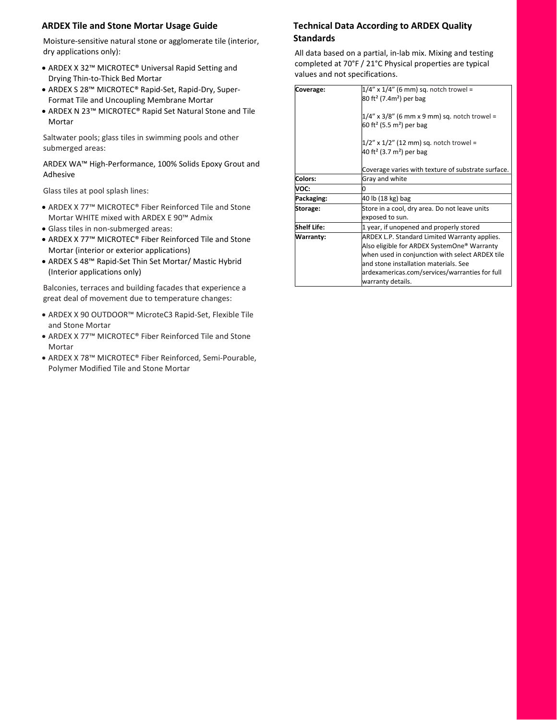#### ARDEX Tile and Stone Mortar Usage Guide

Moisture-sensitive natural stone or agglomerate tile (interior, dry applications only):

- ARDEX X 32™ MICROTEC® Universal Rapid Setting and Drying Thin-to-Thick Bed Mortar
- ARDEX S 28™ MICROTEC® Rapid-Set, Rapid-Dry, Super-Format Tile and Uncoupling Membrane Mortar
- ARDEX N 23™ MICROTEC® Rapid Set Natural Stone and Tile Mortar

Saltwater pools; glass tiles in swimming pools and other submerged areas:

ARDEX WA™ High-Performance, 100% Solids Epoxy Grout and Adhesive

Glass tiles at pool splash lines:

- ARDEX X 77™ MICROTEC® Fiber Reinforced Tile and Stone Mortar WHITE mixed with ARDEX E 90™ Admix
- Glass tiles in non-submerged areas:
- ARDEX X 77™ MICROTEC® Fiber Reinforced Tile and Stone Mortar (interior or exterior applications)
- ARDEX S 48™ Rapid-Set Thin Set Mortar/ Mastic Hybrid (Interior applications only)

Balconies, terraces and building facades that experience a great deal of movement due to temperature changes:

- ARDEX X 90 OUTDOOR™ MicroteC3 Rapid-Set, Flexible Tile and Stone Mortar
- ARDEX X 77™ MICROTEC® Fiber Reinforced Tile and Stone Mortar
- ARDEX X 78™ MICROTEC® Fiber Reinforced, Semi-Pourable, Polymer Modified Tile and Stone Mortar

#### Technical Data According to ARDEX Quality Standards

All data based on a partial, in-lab mix. Mixing and testing completed at 70°F / 21°C Physical properties are typical values and not specifications.

| <b>Coverage:</b> | $1/4''$ x $1/4''$ (6 mm) sq. notch trowel =<br>$ 80 \text{ ft}^2 (7.4 \text{m}^2)$ per bag<br>1/4" x 3/8" (6 mm x 9 mm) sq. notch trowel =<br>60 ft <sup>2</sup> (5.5 m <sup>2</sup> ) per bag<br>1/2" x 1/2" (12 mm) sq. notch trowel =<br>40 ft <sup>2</sup> (3.7 m <sup>2</sup> ) per bag |  |
|------------------|----------------------------------------------------------------------------------------------------------------------------------------------------------------------------------------------------------------------------------------------------------------------------------------------|--|
|                  | Coverage varies with texture of substrate surface.                                                                                                                                                                                                                                           |  |
| Colors:          | Gray and white                                                                                                                                                                                                                                                                               |  |
| VOC:             | n                                                                                                                                                                                                                                                                                            |  |
| Packaging:       | 40 lb (18 kg) bag                                                                                                                                                                                                                                                                            |  |
| Storage:         | Store in a cool, dry area. Do not leave units<br>exposed to sun.                                                                                                                                                                                                                             |  |
| Shelf Life:      | 1 year, if unopened and properly stored                                                                                                                                                                                                                                                      |  |
| Warranty:        | ARDEX L.P. Standard Limited Warranty applies.<br>Also eligible for ARDEX SystemOne® Warranty<br>when used in conjunction with select ARDEX tile<br>and stone installation materials. See<br>ardexamericas.com/services/warranties for full<br>warranty details.                              |  |